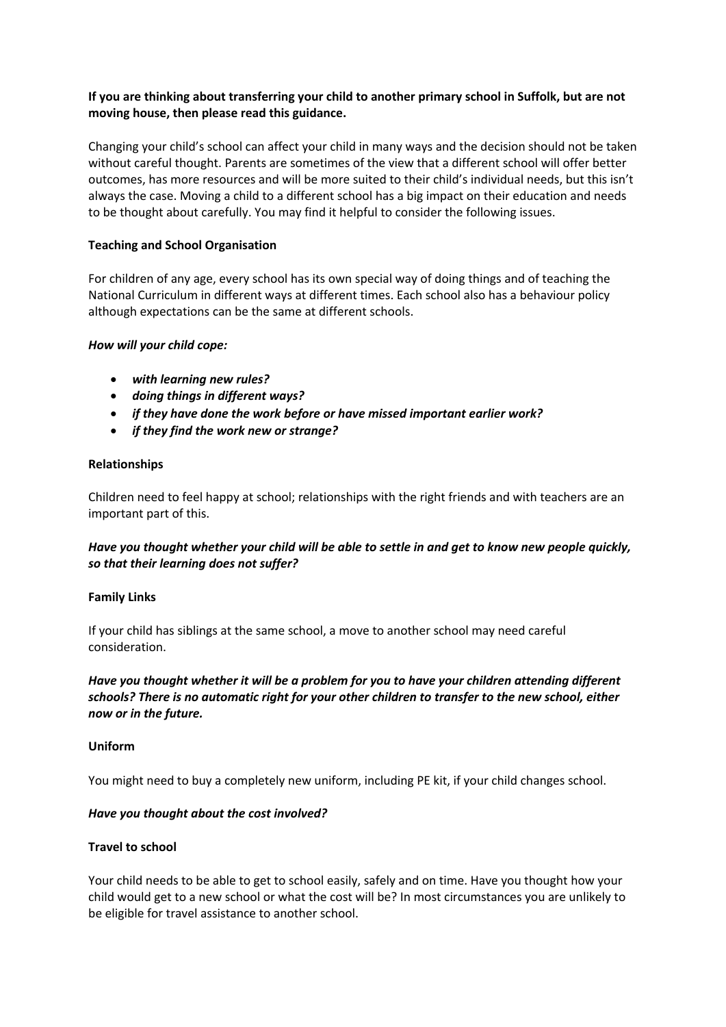# **If you are thinking about transferring your child to another primary school in Suffolk, but are not moving house, then please read this guidance.**

Changing your child's school can affect your child in many ways and the decision should not be taken without careful thought. Parents are sometimes of the view that a different school will offer better outcomes, has more resources and will be more suited to their child's individual needs, but this isn't always the case. Moving a child to a different school has a big impact on their education and needs to be thought about carefully. You may find it helpful to consider the following issues.

## **Teaching and School Organisation**

For children of any age, every school has its own special way of doing things and of teaching the National Curriculum in different ways at different times. Each school also has a behaviour policy although expectations can be the same at different schools.

## *How will your child cope:*

- *with learning new rules?*
- *doing things in different ways?*
- *if they have done the work before or have missed important earlier work?*
- *if they find the work new or strange?*

## **Relationships**

Children need to feel happy at school; relationships with the right friends and with teachers are an important part of this.

# *Have you thought whether your child will be able to settle in and get to know new people quickly, so that their learning does not suffer?*

#### **Family Links**

If your child has siblings at the same school, a move to another school may need careful consideration.

*Have you thought whether it will be a problem for you to have your children attending different schools? There is no automatic right for your other children to transfer to the new school, either now or in the future.* 

#### **Uniform**

You might need to buy a completely new uniform, including PE kit, if your child changes school.

#### *Have you thought about the cost involved?*

## **Travel to school**

Your child needs to be able to get to school easily, safely and on time. Have you thought how your child would get to a new school or what the cost will be? In most circumstances you are unlikely to be eligible for travel assistance to another school.